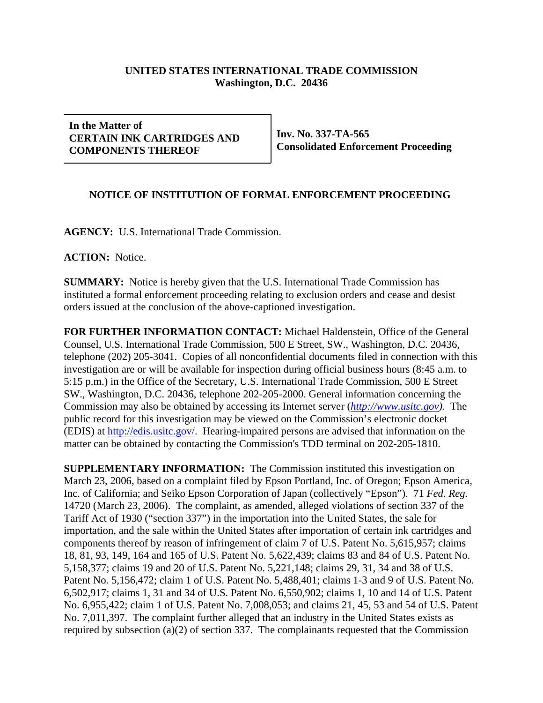## **UNITED STATES INTERNATIONAL TRADE COMMISSION Washington, D.C. 20436**

## **In the Matter of CERTAIN INK CARTRIDGES AND COMPONENTS THEREOF**

**Inv. No. 337-TA-565 Consolidated Enforcement Proceeding**

## **NOTICE OF INSTITUTION OF FORMAL ENFORCEMENT PROCEEDING**

**AGENCY:** U.S. International Trade Commission.

**ACTION:** Notice.

**SUMMARY:** Notice is hereby given that the U.S. International Trade Commission has instituted a formal enforcement proceeding relating to exclusion orders and cease and desist orders issued at the conclusion of the above-captioned investigation.

**FOR FURTHER INFORMATION CONTACT:** Michael Haldenstein, Office of the General Counsel, U.S. International Trade Commission, 500 E Street, SW., Washington, D.C. 20436, telephone (202) 205-3041. Copies of all nonconfidential documents filed in connection with this investigation are or will be available for inspection during official business hours (8:45 a.m. to 5:15 p.m.) in the Office of the Secretary, U.S. International Trade Commission, 500 E Street SW., Washington, D.C. 20436, telephone 202-205-2000. General information concerning the Commission may also be obtained by accessing its Internet server (*http://www.usitc.gov).* The public record for this investigation may be viewed on the Commission's electronic docket (EDIS) at http://edis.usitc.gov/. Hearing-impaired persons are advised that information on the matter can be obtained by contacting the Commission's TDD terminal on 202-205-1810.

**SUPPLEMENTARY INFORMATION:** The Commission instituted this investigation on March 23, 2006, based on a complaint filed by Epson Portland, Inc. of Oregon; Epson America, Inc. of California; and Seiko Epson Corporation of Japan (collectively "Epson"). 71 *Fed. Reg.* 14720 (March 23, 2006). The complaint, as amended, alleged violations of section 337 of the Tariff Act of 1930 ("section 337") in the importation into the United States, the sale for importation, and the sale within the United States after importation of certain ink cartridges and components thereof by reason of infringement of claim 7 of U.S. Patent No. 5,615,957; claims 18, 81, 93, 149, 164 and 165 of U.S. Patent No. 5,622,439; claims 83 and 84 of U.S. Patent No. 5,158,377; claims 19 and 20 of U.S. Patent No. 5,221,148; claims 29, 31, 34 and 38 of U.S. Patent No. 5,156,472; claim 1 of U.S. Patent No. 5,488,401; claims 1-3 and 9 of U.S. Patent No. 6,502,917; claims 1, 31 and 34 of U.S. Patent No. 6,550,902; claims 1, 10 and 14 of U.S. Patent No. 6,955,422; claim 1 of U.S. Patent No. 7,008,053; and claims 21, 45, 53 and 54 of U.S. Patent No. 7,011,397. The complaint further alleged that an industry in the United States exists as required by subsection (a)(2) of section 337. The complainants requested that the Commission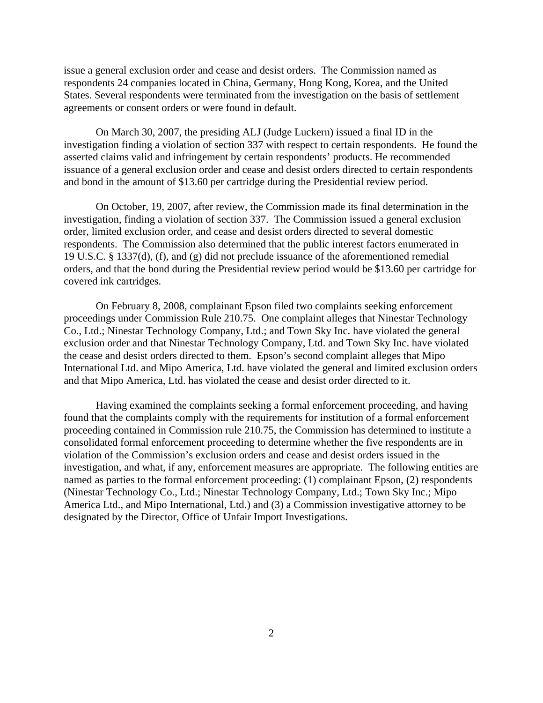issue a general exclusion order and cease and desist orders. The Commission named as respondents 24 companies located in China, Germany, Hong Kong, Korea, and the United States. Several respondents were terminated from the investigation on the basis of settlement agreements or consent orders or were found in default.

On March 30, 2007, the presiding ALJ (Judge Luckern) issued a final ID in the investigation finding a violation of section 337 with respect to certain respondents. He found the asserted claims valid and infringement by certain respondents' products. He recommended issuance of a general exclusion order and cease and desist orders directed to certain respondents and bond in the amount of \$13.60 per cartridge during the Presidential review period.

On October, 19, 2007, after review, the Commission made its final determination in the investigation, finding a violation of section 337. The Commission issued a general exclusion order, limited exclusion order, and cease and desist orders directed to several domestic respondents. The Commission also determined that the public interest factors enumerated in 19 U.S.C. § 1337(d), (f), and (g) did not preclude issuance of the aforementioned remedial orders, and that the bond during the Presidential review period would be \$13.60 per cartridge for covered ink cartridges.

On February 8, 2008, complainant Epson filed two complaints seeking enforcement proceedings under Commission Rule 210.75. One complaint alleges that Ninestar Technology Co., Ltd.; Ninestar Technology Company, Ltd.; and Town Sky Inc. have violated the general exclusion order and that Ninestar Technology Company, Ltd. and Town Sky Inc. have violated the cease and desist orders directed to them. Epson's second complaint alleges that Mipo International Ltd. and Mipo America, Ltd. have violated the general and limited exclusion orders and that Mipo America, Ltd. has violated the cease and desist order directed to it.

Having examined the complaints seeking a formal enforcement proceeding, and having found that the complaints comply with the requirements for institution of a formal enforcement proceeding contained in Commission rule 210.75, the Commission has determined to institute a consolidated formal enforcement proceeding to determine whether the five respondents are in violation of the Commission's exclusion orders and cease and desist orders issued in the investigation, and what, if any, enforcement measures are appropriate. The following entities are named as parties to the formal enforcement proceeding: (1) complainant Epson, (2) respondents (Ninestar Technology Co., Ltd.; Ninestar Technology Company, Ltd.; Town Sky Inc.; Mipo America Ltd., and Mipo International, Ltd.) and (3) a Commission investigative attorney to be designated by the Director, Office of Unfair Import Investigations.